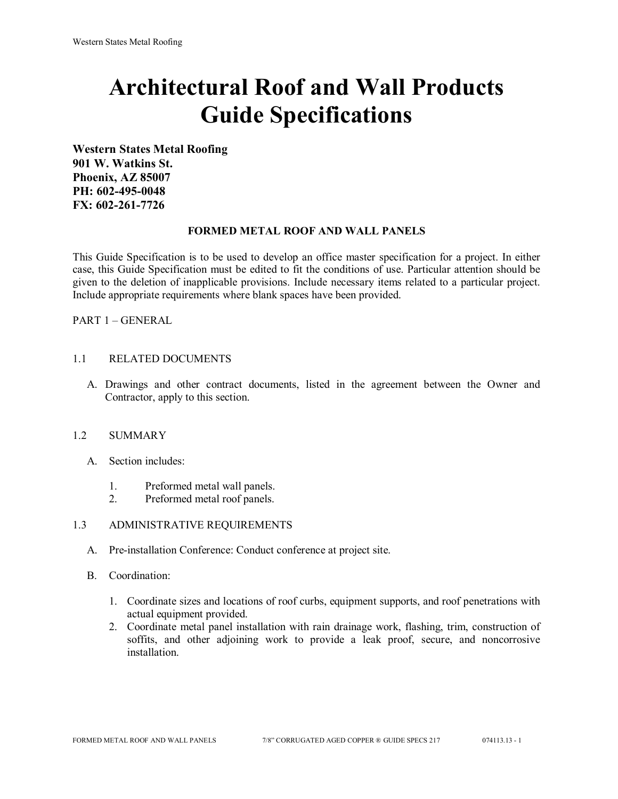# **Architectural Roof and Wall Products Guide Specifications**

**Western States Metal Roofing 901 W. Watkins St. Phoenix, AZ 85007 PH: 602-495-0048 FX: 602-261-7726**

#### **FORMED METAL ROOF AND WALL PANELS**

This Guide Specification is to be used to develop an office master specification for a project. In either case, this Guide Specification must be edited to fit the conditions of use. Particular attention should be given to the deletion of inapplicable provisions. Include necessary items related to a particular project. Include appropriate requirements where blank spaces have been provided.

PART 1 – GENERAL

#### 1.1 RELATED DOCUMENTS

A. Drawings and other contract documents, listed in the agreement between the Owner and Contractor, apply to this section.

### 1.2 SUMMARY

- A. Section includes:
	- 1. Preformed metal wall panels.
	- 2. Preformed metal roof panels.

#### 1.3 ADMINISTRATIVE REQUIREMENTS

- A. Pre-installation Conference: Conduct conference at project site.
- B. Coordination:
	- 1. Coordinate sizes and locations of roof curbs, equipment supports, and roof penetrations with actual equipment provided.
	- 2. Coordinate metal panel installation with rain drainage work, flashing, trim, construction of soffits, and other adjoining work to provide a leak proof, secure, and noncorrosive installation.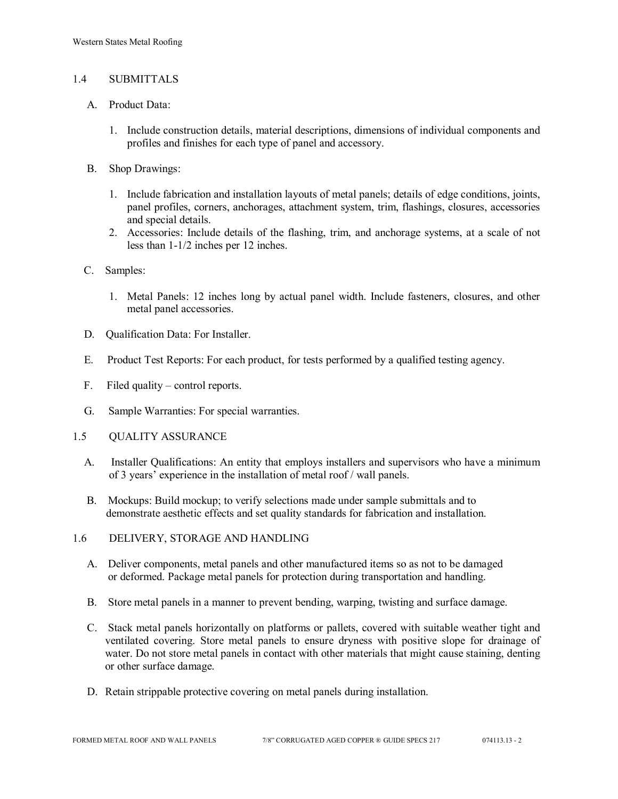### 1.4 SUBMITTALS

- A. Product Data:
	- 1. Include construction details, material descriptions, dimensions of individual components and profiles and finishes for each type of panel and accessory.
- B. Shop Drawings:
	- 1. Include fabrication and installation layouts of metal panels; details of edge conditions, joints, panel profiles, corners, anchorages, attachment system, trim, flashings, closures, accessories and special details.
	- 2. Accessories: Include details of the flashing, trim, and anchorage systems, at a scale of not less than 1-1/2 inches per 12 inches.
- C. Samples:
	- 1. Metal Panels: 12 inches long by actual panel width. Include fasteners, closures, and other metal panel accessories.
- D. Qualification Data: For Installer.
- E. Product Test Reports: For each product, for tests performed by a qualified testing agency.
- F. Filed quality control reports.
- G. Sample Warranties: For special warranties.
- 1.5 QUALITY ASSURANCE
	- A. Installer Qualifications: An entity that employs installers and supervisors who have a minimum of 3 years' experience in the installation of metal roof / wall panels.
	- B. Mockups: Build mockup; to verify selections made under sample submittals and to demonstrate aesthetic effects and set quality standards for fabrication and installation.
- 1.6 DELIVERY, STORAGE AND HANDLING
	- A. Deliver components, metal panels and other manufactured items so as not to be damaged or deformed. Package metal panels for protection during transportation and handling.
	- B. Store metal panels in a manner to prevent bending, warping, twisting and surface damage.
	- C. Stack metal panels horizontally on platforms or pallets, covered with suitable weather tight and ventilated covering. Store metal panels to ensure dryness with positive slope for drainage of water. Do not store metal panels in contact with other materials that might cause staining, denting or other surface damage.
	- D. Retain strippable protective covering on metal panels during installation.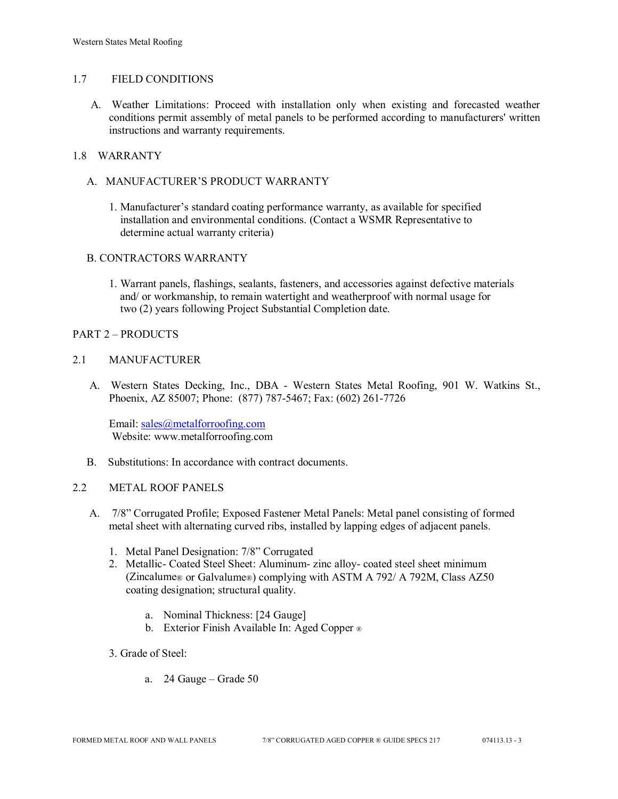#### 1.7 FIELD CONDITIONS

A. Weather Limitations: Proceed with installation only when existing and forecasted weather conditions permit assembly of metal panels to be performed according to manufacturers' written instructions and warranty requirements.

# 1.8 WARRANTY

- A. MANUFACTURER'S PRODUCT WARRANTY
	- 1. Manufacturer's standard coating performance warranty, as available for specified installation and environmental conditions. (Contact a WSMR Representative to determine actual warranty criteria)

#### B. CONTRACTORS WARRANTY

1. Warrant panels, flashings, sealants, fasteners, and accessories against defective materials and/ or workmanship, to remain watertight and weatherproof with normal usage for two (2) years following Project Substantial Completion date.

#### PART 2 – PRODUCTS

#### 2.1 MANUFACTURER

 A. Western States Decking, Inc., DBA - Western States Metal Roofing, 901 W. Watkins St., Phoenix, AZ 85007; Phone: (877) 787-5467; Fax: (602) 261-7726

Email: [sales@metalforroofing.com](mailto:sales@metalforroofing.com) Website: www.metalforroofing.com

B. Substitutions: In accordance with contract documents.

#### 2.2 METAL ROOF PANELS

- A. 7/8" Corrugated Profile; Exposed Fastener Metal Panels: Metal panel consisting of formed metal sheet with alternating curved ribs, installed by lapping edges of adjacent panels.
	- 1. Metal Panel Designation: 7/8" Corrugated
	- 2. Metallic- Coated Steel Sheet: Aluminum- zinc alloy- coated steel sheet minimum (Zincalume® or Galvalume®) complying with ASTM A 792/ A 792M, Class AZ50 coating designation; structural quality.
		- a. Nominal Thickness: [24 Gauge]
		- b. Exterior Finish Available In: Aged Copper ®
	- 3. Grade of Steel:
		- a. 24 Gauge Grade 50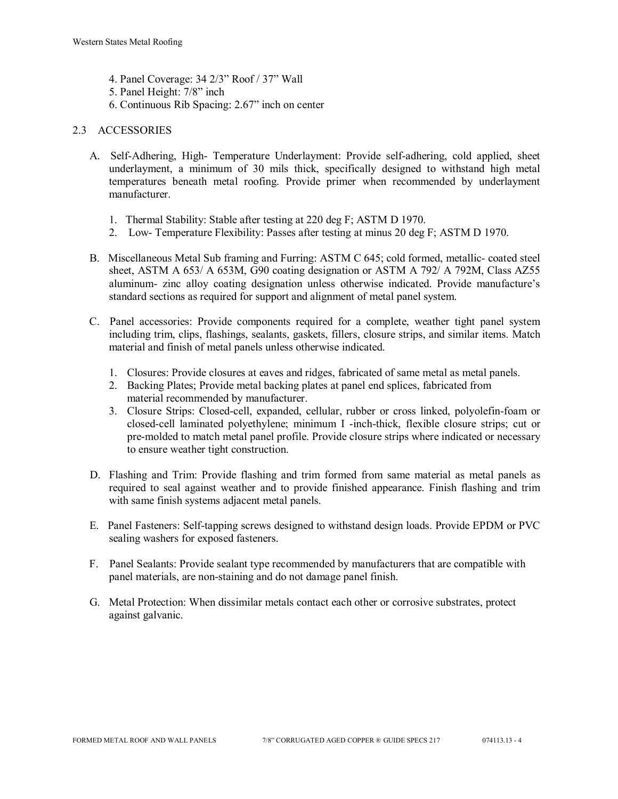- 4. Panel Coverage: 34 2/3" Roof / 37" Wall
- 5. Panel Height: 7/8" inch
- 6. Continuous Rib Spacing: 2.67" inch on center

#### 2.3 ACCESSORIES

- A. Self-Adhering, High- Temperature Underlayment: Provide self-adhering, cold applied, sheet underlayment, a minimum of 30 mils thick, specifically designed to withstand high metal temperatures beneath metal roofing. Provide primer when recommended by underlayment manufacturer.
	- 1. Thermal Stability: Stable after testing at 220 deg F; ASTM D 1970.
	- 2. Low- Temperature Flexibility: Passes after testing at minus 20 deg F; ASTM D 1970.
- B. Miscellaneous Metal Sub framing and Furring: ASTM C 645; cold formed, metallic- coated steel sheet, ASTM A 653/ A 653M, G90 coating designation or ASTM A 792/ A 792M, Class AZ55 aluminum- zinc alloy coating designation unless otherwise indicated. Provide manufacture's standard sections as required for support and alignment of metal panel system.
- C. Panel accessories: Provide components required for a complete, weather tight panel system including trim, clips, flashings, sealants, gaskets, fillers, closure strips, and similar items. Match material and finish of metal panels unless otherwise indicated.
	- 1. Closures: Provide closures at eaves and ridges, fabricated of same metal as metal panels.
	- 2. Backing Plates; Provide metal backing plates at panel end splices, fabricated from material recommended by manufacturer.
	- 3. Closure Strips: Closed-cell, expanded, cellular, rubber or cross linked, polyolefin-foam or closed-cell laminated polyethylene; minimum I -inch-thick, flexible closure strips; cut or pre-molded to match metal panel profile. Provide closure strips where indicated or necessary to ensure weather tight construction.
- D. Flashing and Trim: Provide flashing and trim formed from same material as metal panels as required to seal against weather and to provide finished appearance. Finish flashing and trim with same finish systems adjacent metal panels.
- E. Panel Fasteners: Self-tapping screws designed to withstand design loads. Provide EPDM or PVC sealing washers for exposed fasteners.
- F. Panel Sealants: Provide sealant type recommended by manufacturers that are compatible with panel materials, are non-staining and do not damage panel finish.
- G. Metal Protection: When dissimilar metals contact each other or corrosive substrates, protect against galvanic.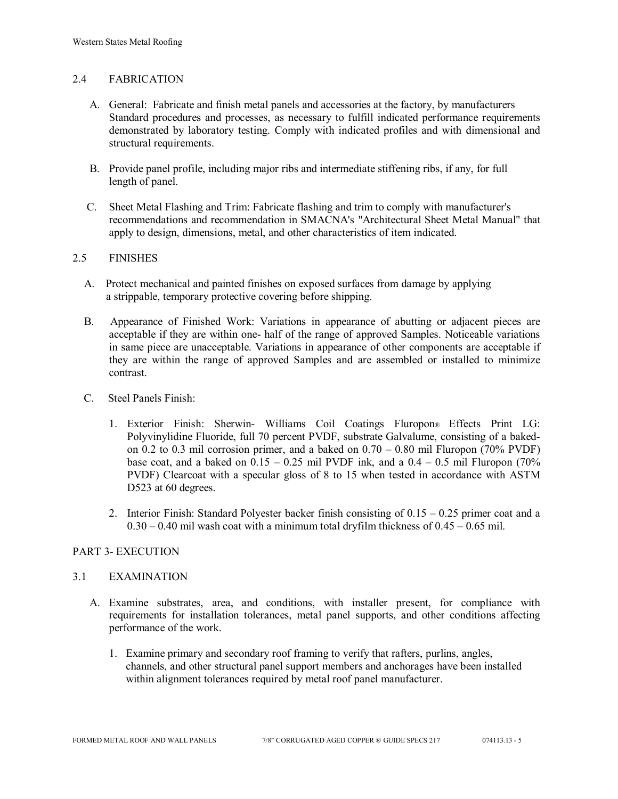### 2.4 FABRICATION

- A. General: Fabricate and finish metal panels and accessories at the factory, by manufacturers Standard procedures and processes, as necessary to fulfill indicated performance requirements demonstrated by laboratory testing. Comply with indicated profiles and with dimensional and structural requirements.
- B. Provide panel profile, including major ribs and intermediate stiffening ribs, if any, for full length of panel.
- C. Sheet Metal Flashing and Trim: Fabricate flashing and trim to comply with manufacturer's recommendations and recommendation in SMACNA's "Architectural Sheet Metal Manual" that apply to design, dimensions, metal, and other characteristics of item indicated.

#### 2.5 FINISHES

- A. Protect mechanical and painted finishes on exposed surfaces from damage by applying a strippable, temporary protective covering before shipping.
- B. Appearance of Finished Work: Variations in appearance of abutting or adjacent pieces are acceptable if they are within one- half of the range of approved Samples. Noticeable variations in same piece are unacceptable. Variations in appearance of other components are acceptable if they are within the range of approved Samples and are assembled or installed to minimize contrast.
- C. Steel Panels Finish:
	- 1. Exterior Finish: Sherwin- Williams Coil Coatings Fluropon® Effects Print LG: Polyvinylidine Fluoride, full 70 percent PVDF, substrate Galvalume, consisting of a bakedon 0.2 to 0.3 mil corrosion primer, and a baked on  $0.70 - 0.80$  mil Fluropon (70% PVDF) base coat, and a baked on  $0.15 - 0.25$  mil PVDF ink, and a  $0.4 - 0.5$  mil Fluropon (70%) PVDF) Clearcoat with a specular gloss of 8 to 15 when tested in accordance with ASTM D523 at 60 degrees.
	- 2. Interior Finish: Standard Polyester backer finish consisting of  $0.15 0.25$  primer coat and a  $0.30 - 0.40$  mil wash coat with a minimum total dryfilm thickness of  $0.45 - 0.65$  mil.

### PART 3- EXECUTION

#### 3.1 EXAMINATION

- A. Examine substrates, area, and conditions, with installer present, for compliance with requirements for installation tolerances, metal panel supports, and other conditions affecting performance of the work.
	- 1. Examine primary and secondary roof framing to verify that rafters, purlins, angles, channels, and other structural panel support members and anchorages have been installed within alignment tolerances required by metal roof panel manufacturer.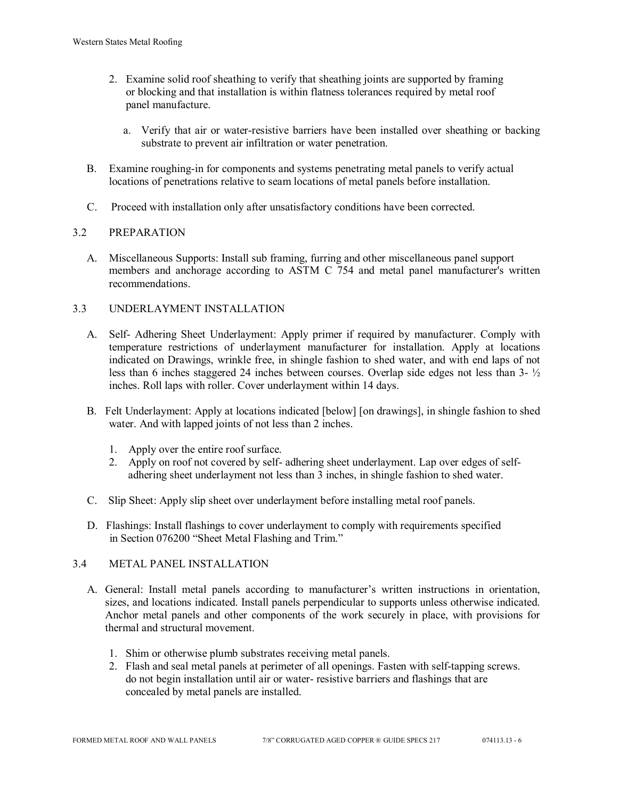- 2. Examine solid roof sheathing to verify that sheathing joints are supported by framing or blocking and that installation is within flatness tolerances required by metal roof panel manufacture.
	- a. Verify that air or water-resistive barriers have been installed over sheathing or backing substrate to prevent air infiltration or water penetration.
- B. Examine roughing-in for components and systems penetrating metal panels to verify actual locations of penetrations relative to seam locations of metal panels before installation.
- C. Proceed with installation only after unsatisfactory conditions have been corrected.

### 3.2 PREPARATION

 A. Miscellaneous Supports: Install sub framing, furring and other miscellaneous panel support members and anchorage according to ASTM C 754 and metal panel manufacturer's written recommendations.

# 3.3 UNDERLAYMENT INSTALLATION

- A. Self- Adhering Sheet Underlayment: Apply primer if required by manufacturer. Comply with temperature restrictions of underlayment manufacturer for installation. Apply at locations indicated on Drawings, wrinkle free, in shingle fashion to shed water, and with end laps of not less than 6 inches staggered 24 inches between courses. Overlap side edges not less than 3- ½ inches. Roll laps with roller. Cover underlayment within 14 days.
- B. Felt Underlayment: Apply at locations indicated [below] [on drawings], in shingle fashion to shed water. And with lapped joints of not less than 2 inches.
	- 1. Apply over the entire roof surface.
	- 2. Apply on roof not covered by self- adhering sheet underlayment. Lap over edges of self adhering sheet underlayment not less than 3 inches, in shingle fashion to shed water.
- C. Slip Sheet: Apply slip sheet over underlayment before installing metal roof panels.
- D. Flashings: Install flashings to cover underlayment to comply with requirements specified in Section 076200 "Sheet Metal Flashing and Trim."

## 3.4 METAL PANEL INSTALLATION

- A. General: Install metal panels according to manufacturer's written instructions in orientation, sizes, and locations indicated. Install panels perpendicular to supports unless otherwise indicated. Anchor metal panels and other components of the work securely in place, with provisions for thermal and structural movement.
	- 1. Shim or otherwise plumb substrates receiving metal panels.
	- 2. Flash and seal metal panels at perimeter of all openings. Fasten with self-tapping screws. do not begin installation until air or water- resistive barriers and flashings that are concealed by metal panels are installed.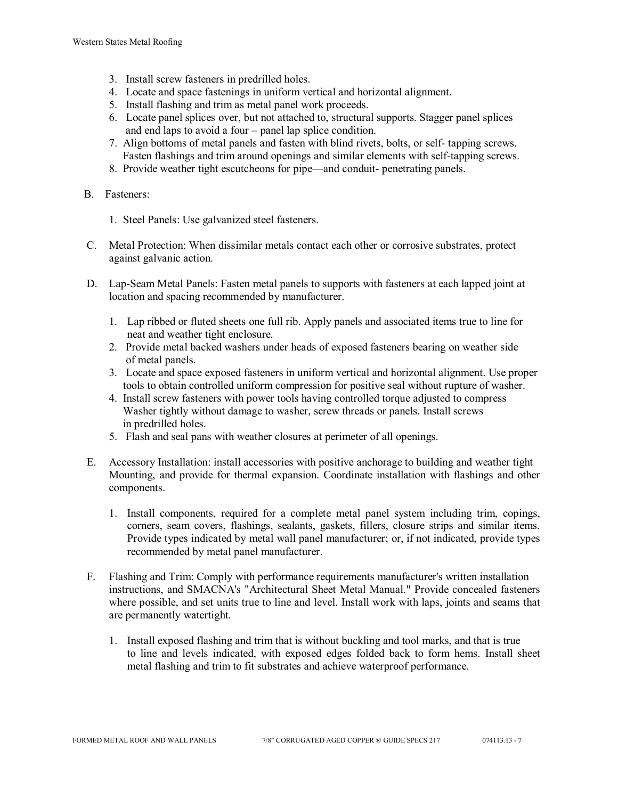- 3. Install screw fasteners in predrilled holes.
- 4. Locate and space fastenings in uniform vertical and horizontal alignment.
- 5. Install flashing and trim as metal panel work proceeds.
- 6. Locate panel splices over, but not attached to, structural supports. Stagger panel splices and end laps to avoid a four – panel lap splice condition.
- 7. Align bottoms of metal panels and fasten with blind rivets, bolts, or self- tapping screws. Fasten flashings and trim around openings and similar elements with self-tapping screws.
- 8. Provide weather tight escutcheons for pipe—and conduit- penetrating panels.
- B. Fasteners:
	- 1. Steel Panels: Use galvanized steel fasteners.
- C. Metal Protection: When dissimilar metals contact each other or corrosive substrates, protect against galvanic action.
- D. Lap-Seam Metal Panels: Fasten metal panels to supports with fasteners at each lapped joint at location and spacing recommended by manufacturer.
	- 1. Lap ribbed or fluted sheets one full rib. Apply panels and associated items true to line for neat and weather tight enclosure.
	- 2. Provide metal backed washers under heads of exposed fasteners bearing on weather side of metal panels.
	- 3. Locate and space exposed fasteners in uniform vertical and horizontal alignment. Use proper tools to obtain controlled uniform compression for positive seal without rupture of washer.
	- 4. Install screw fasteners with power tools having controlled torque adjusted to compress Washer tightly without damage to washer, screw threads or panels. Install screws in predrilled holes.
	- 5. Flash and seal pans with weather closures at perimeter of all openings.
- E. Accessory Installation: install accessories with positive anchorage to building and weather tight Mounting, and provide for thermal expansion. Coordinate installation with flashings and other components.
	- 1. Install components, required for a complete metal panel system including trim, copings, corners, seam covers, flashings, sealants, gaskets, fillers, closure strips and similar items. Provide types indicated by metal wall panel manufacturer; or, if not indicated, provide types recommended by metal panel manufacturer.
- F. Flashing and Trim: Comply with performance requirements manufacturer's written installation instructions, and SMACNA's "Architectural Sheet Metal Manual." Provide concealed fasteners where possible, and set units true to line and level. Install work with laps, joints and seams that are permanently watertight.
	- 1. Install exposed flashing and trim that is without buckling and tool marks, and that is true to line and levels indicated, with exposed edges folded back to form hems. Install sheet metal flashing and trim to fit substrates and achieve waterproof performance.